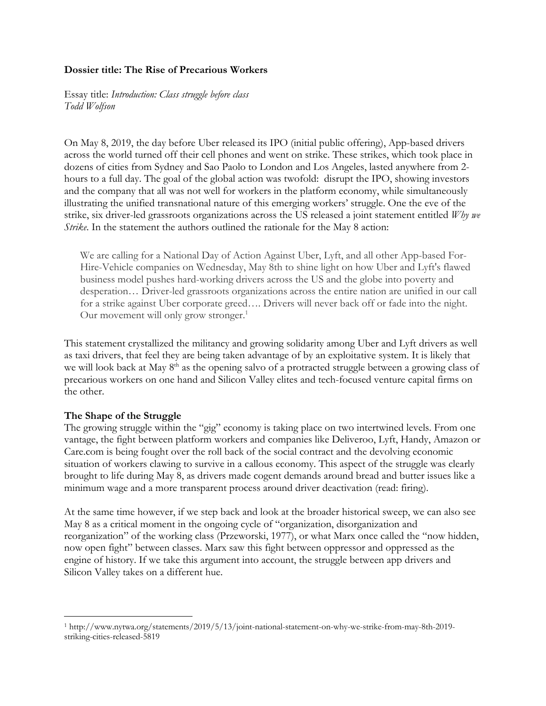### **Dossier title: The Rise of Precarious Workers**

Essay title: *Introduction: Class struggle before class Todd Wolfson*

On May 8, 2019, the day before Uber released its IPO (initial public offering), App-based drivers across the world turned off their cell phones and went on strike. These strikes, which took place in dozens of cities from Sydney and Sao Paolo to London and Los Angeles, lasted anywhere from 2 hours to a full day. The goal of the global action was twofold: disrupt the IPO, showing investors and the company that all was not well for workers in the platform economy, while simultaneously illustrating the unified transnational nature of this emerging workers' struggle. One the eve of the strike, six driver-led grassroots organizations across the US released a joint statement entitled *Why we Strike*. In the statement the authors outlined the rationale for the May 8 action:

We are calling for a National Day of Action Against Uber, Lyft, and all other App-based For-Hire-Vehicle companies on Wednesday, May 8th to shine light on how Uber and Lyft's flawed business model pushes hard-working drivers across the US and the globe into poverty and desperation… Driver-led grassroots organizations across the entire nation are unified in our call for a strike against Uber corporate greed.... Drivers will never back off or fade into the night. Our movement will only grow stronger.<sup>1</sup>

This statement crystallized the militancy and growing solidarity among Uber and Lyft drivers as well as taxi drivers, that feel they are being taken advantage of by an exploitative system. It is likely that we will look back at May 8<sup>th</sup> as the opening salvo of a protracted struggle between a growing class of precarious workers on one hand and Silicon Valley elites and tech-focused venture capital firms on the other.

## **The Shape of the Struggle**

The growing struggle within the "gig" economy is taking place on two intertwined levels. From one vantage, the fight between platform workers and companies like Deliveroo, Lyft, Handy, Amazon or Care.com is being fought over the roll back of the social contract and the devolving economic situation of workers clawing to survive in a callous economy. This aspect of the struggle was clearly brought to life during May 8, as drivers made cogent demands around bread and butter issues like a minimum wage and a more transparent process around driver deactivation (read: firing).

At the same time however, if we step back and look at the broader historical sweep, we can also see May 8 as a critical moment in the ongoing cycle of "organization, disorganization and reorganization" of the working class (Przeworski, 1977), or what Marx once called the "now hidden, now open fight" between classes. Marx saw this fight between oppressor and oppressed as the engine of history. If we take this argument into account, the struggle between app drivers and Silicon Valley takes on a different hue.

 $\overline{a}$ <sup>1</sup> http://www.nytwa.org/statements/2019/5/13/joint-national-statement-on-why-we-strike-from-may-8th-2019 striking-cities-released-5819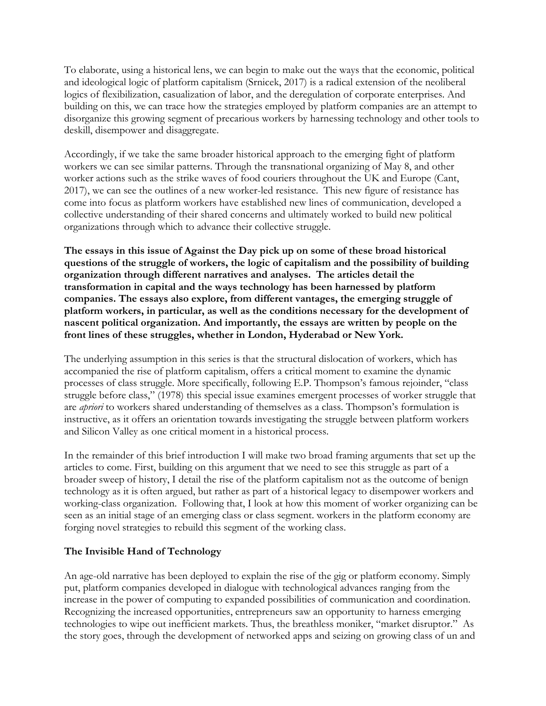To elaborate, using a historical lens, we can begin to make out the ways that the economic, political and ideological logic of platform capitalism (Srnicek, 2017) is a radical extension of the neoliberal logics of flexibilization, casualization of labor, and the deregulation of corporate enterprises. And building on this, we can trace how the strategies employed by platform companies are an attempt to disorganize this growing segment of precarious workers by harnessing technology and other tools to deskill, disempower and disaggregate.

Accordingly, if we take the same broader historical approach to the emerging fight of platform workers we can see similar patterns. Through the transnational organizing of May 8, and other worker actions such as the strike waves of food couriers throughout the UK and Europe (Cant, 2017), we can see the outlines of a new worker-led resistance. This new figure of resistance has come into focus as platform workers have established new lines of communication, developed a collective understanding of their shared concerns and ultimately worked to build new political organizations through which to advance their collective struggle.

**The essays in this issue of Against the Day pick up on some of these broad historical questions of the struggle of workers, the logic of capitalism and the possibility of building organization through different narratives and analyses. The articles detail the transformation in capital and the ways technology has been harnessed by platform companies. The essays also explore, from different vantages, the emerging struggle of platform workers, in particular, as well as the conditions necessary for the development of nascent political organization. And importantly, the essays are written by people on the front lines of these struggles, whether in London, Hyderabad or New York.** 

The underlying assumption in this series is that the structural dislocation of workers, which has accompanied the rise of platform capitalism, offers a critical moment to examine the dynamic processes of class struggle. More specifically, following E.P. Thompson's famous rejoinder, "class struggle before class," (1978) this special issue examines emergent processes of worker struggle that are *apriori* to workers shared understanding of themselves as a class. Thompson's formulation is instructive, as it offers an orientation towards investigating the struggle between platform workers and Silicon Valley as one critical moment in a historical process.

In the remainder of this brief introduction I will make two broad framing arguments that set up the articles to come. First, building on this argument that we need to see this struggle as part of a broader sweep of history, I detail the rise of the platform capitalism not as the outcome of benign technology as it is often argued, but rather as part of a historical legacy to disempower workers and working-class organization. Following that, I look at how this moment of worker organizing can be seen as an initial stage of an emerging class or class segment. workers in the platform economy are forging novel strategies to rebuild this segment of the working class.

## **The Invisible Hand of Technology**

An age-old narrative has been deployed to explain the rise of the gig or platform economy. Simply put, platform companies developed in dialogue with technological advances ranging from the increase in the power of computing to expanded possibilities of communication and coordination. Recognizing the increased opportunities, entrepreneurs saw an opportunity to harness emerging technologies to wipe out inefficient markets. Thus, the breathless moniker, "market disruptor." As the story goes, through the development of networked apps and seizing on growing class of un and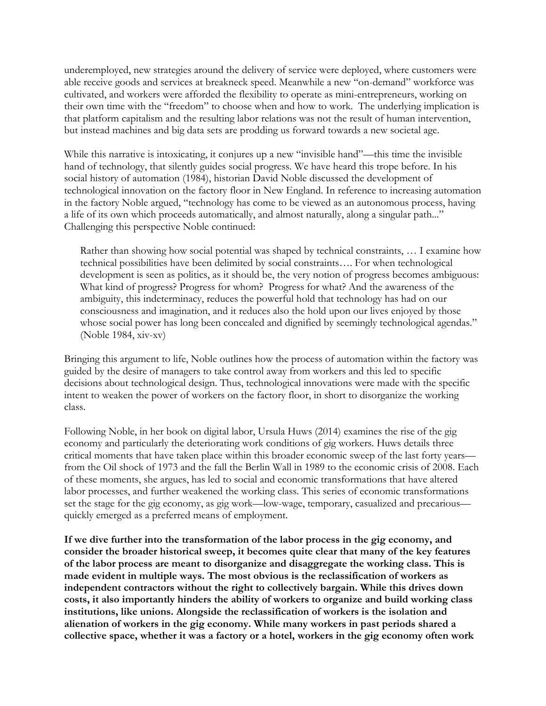underemployed, new strategies around the delivery of service were deployed, where customers were able receive goods and services at breakneck speed. Meanwhile a new "on-demand" workforce was cultivated, and workers were afforded the flexibility to operate as mini-entrepreneurs, working on their own time with the "freedom" to choose when and how to work. The underlying implication is that platform capitalism and the resulting labor relations was not the result of human intervention, but instead machines and big data sets are prodding us forward towards a new societal age.

While this narrative is intoxicating, it conjures up a new "invisible hand"—this time the invisible hand of technology, that silently guides social progress. We have heard this trope before. In his social history of automation (1984), historian David Noble discussed the development of technological innovation on the factory floor in New England. In reference to increasing automation in the factory Noble argued, "technology has come to be viewed as an autonomous process, having a life of its own which proceeds automatically, and almost naturally, along a singular path..." Challenging this perspective Noble continued:

Rather than showing how social potential was shaped by technical constraints, … I examine how technical possibilities have been delimited by social constraints…. For when technological development is seen as politics, as it should be, the very notion of progress becomes ambiguous: What kind of progress? Progress for whom? Progress for what? And the awareness of the ambiguity, this indeterminacy, reduces the powerful hold that technology has had on our consciousness and imagination, and it reduces also the hold upon our lives enjoyed by those whose social power has long been concealed and dignified by seemingly technological agendas." (Noble 1984, xiv-xv)

Bringing this argument to life, Noble outlines how the process of automation within the factory was guided by the desire of managers to take control away from workers and this led to specific decisions about technological design. Thus, technological innovations were made with the specific intent to weaken the power of workers on the factory floor, in short to disorganize the working class.

Following Noble, in her book on digital labor, Ursula Huws (2014) examines the rise of the gig economy and particularly the deteriorating work conditions of gig workers. Huws details three critical moments that have taken place within this broader economic sweep of the last forty years from the Oil shock of 1973 and the fall the Berlin Wall in 1989 to the economic crisis of 2008. Each of these moments, she argues, has led to social and economic transformations that have altered labor processes, and further weakened the working class. This series of economic transformations set the stage for the gig economy, as gig work—low-wage, temporary, casualized and precarious quickly emerged as a preferred means of employment.

**If we dive further into the transformation of the labor process in the gig economy, and consider the broader historical sweep, it becomes quite clear that many of the key features of the labor process are meant to disorganize and disaggregate the working class. This is made evident in multiple ways. The most obvious is the reclassification of workers as independent contractors without the right to collectively bargain. While this drives down costs, it also importantly hinders the ability of workers to organize and build working class institutions, like unions. Alongside the reclassification of workers is the isolation and alienation of workers in the gig economy. While many workers in past periods shared a collective space, whether it was a factory or a hotel, workers in the gig economy often work**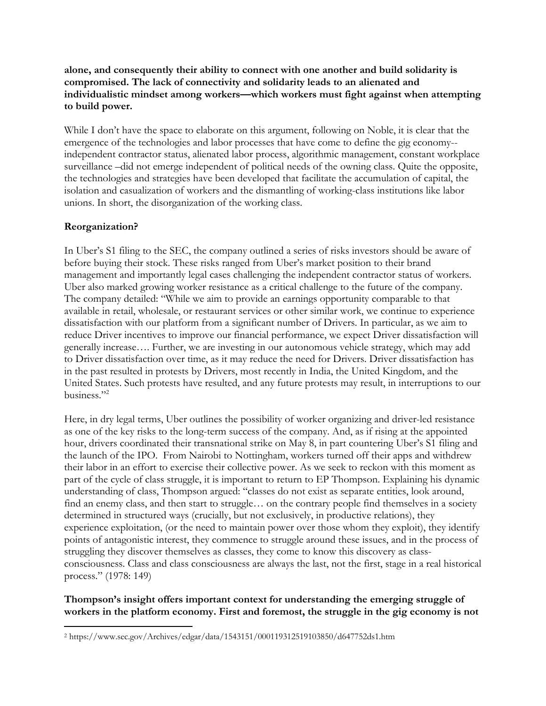**alone, and consequently their ability to connect with one another and build solidarity is compromised. The lack of connectivity and solidarity leads to an alienated and individualistic mindset among workers—which workers must fight against when attempting to build power.** 

While I don't have the space to elaborate on this argument, following on Noble, it is clear that the emergence of the technologies and labor processes that have come to define the gig economy- independent contractor status, alienated labor process, algorithmic management, constant workplace surveillance –did not emerge independent of political needs of the owning class. Quite the opposite, the technologies and strategies have been developed that facilitate the accumulation of capital, the isolation and casualization of workers and the dismantling of working-class institutions like labor unions. In short, the disorganization of the working class.

## **Reorganization?**

In Uber's S1 filing to the SEC, the company outlined a series of risks investors should be aware of before buying their stock. These risks ranged from Uber's market position to their brand management and importantly legal cases challenging the independent contractor status of workers. Uber also marked growing worker resistance as a critical challenge to the future of the company. The company detailed: "While we aim to provide an earnings opportunity comparable to that available in retail, wholesale, or restaurant services or other similar work, we continue to experience dissatisfaction with our platform from a significant number of Drivers. In particular, as we aim to reduce Driver incentives to improve our financial performance, we expect Driver dissatisfaction will generally increase…. Further, we are investing in our autonomous vehicle strategy, which may add to Driver dissatisfaction over time, as it may reduce the need for Drivers. Driver dissatisfaction has in the past resulted in protests by Drivers, most recently in India, the United Kingdom, and the United States. Such protests have resulted, and any future protests may result, in interruptions to our business."2

Here, in dry legal terms, Uber outlines the possibility of worker organizing and driver-led resistance as one of the key risks to the long-term success of the company. And, as if rising at the appointed hour, drivers coordinated their transnational strike on May 8, in part countering Uber's S1 filing and the launch of the IPO. From Nairobi to Nottingham, workers turned off their apps and withdrew their labor in an effort to exercise their collective power. As we seek to reckon with this moment as part of the cycle of class struggle, it is important to return to EP Thompson. Explaining his dynamic understanding of class, Thompson argued: "classes do not exist as separate entities, look around, find an enemy class, and then start to struggle... on the contrary people find themselves in a society determined in structured ways (crucially, but not exclusively, in productive relations), they experience exploitation, (or the need to maintain power over those whom they exploit), they identify points of antagonistic interest, they commence to struggle around these issues, and in the process of struggling they discover themselves as classes, they come to know this discovery as classconsciousness. Class and class consciousness are always the last, not the first, stage in a real historical process." (1978: 149)

# **Thompson's insight offers important context for understanding the emerging struggle of workers in the platform economy. First and foremost, the struggle in the gig economy is not**

 $\overline{a}$ <sup>2</sup> https://www.sec.gov/Archives/edgar/data/1543151/000119312519103850/d647752ds1.htm